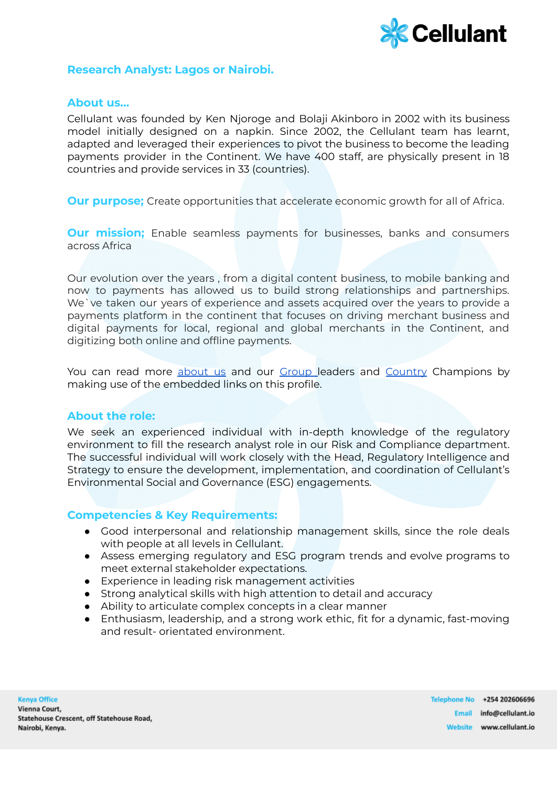

## **Research Analyst: Lagos or Nairobi.**

### **About us…**

Cellulant was founded by Ken Njoroge and Bolaji Akinboro in 2002 with its business model initially designed on a napkin. Since 2002, the Cellulant team has learnt, adapted and leveraged their experiences to pivot the business to become the leading payments provider in the Continent. We have 400 staff, are physically present in 18 countries and provide services in 33 (countries).

**Our purpose;** Create opportunities that accelerate economic growth for all of Africa.

**Our mission;** Enable seamless payments for businesses, banks and consumers across Africa

Our evolution over the years , from a digital content business, to mobile banking and now to payments has allowed us to build strong relationships and partnerships. We`ve taken our years of experience and assets acquired over the years to provide a payments platform in the continent that focuses on driving merchant business and digital payments for local, regional and global merchants in the Continent, and digitizing both online and offline payments.

You can read more [about](https://cellulant.io/) us and our [Group](https://cellulant.io/our-people/) leaders and [Country](https://cellulant.io/our-people/) Champions by making use of the embedded links on this profile.

#### **About the role:**

We seek an experienced individual with in-depth knowledge of the regulatory environment to fill the research analyst role in our Risk and Compliance department. The successful individual will work closely with the Head, Regulatory Intelligence and Strategy to ensure the development, implementation, and coordination of Cellulant's Environmental Social and Governance (ESG) engagements.

# **Competencies & Key Requirements:**

- Good interpersonal and relationship management skills, since the role deals with people at all levels in Cellulant.
- Assess emerging regulatory and ESG program trends and evolve programs to meet external stakeholder expectations.
- Experience in leading risk management activities
- Strong analytical skills with high attention to detail and accuracy
- Ability to articulate complex concepts in a clear manner
- Enthusiasm, leadership, and a strong work ethic, fit for a dynamic, fast-moving and result- orientated environment.